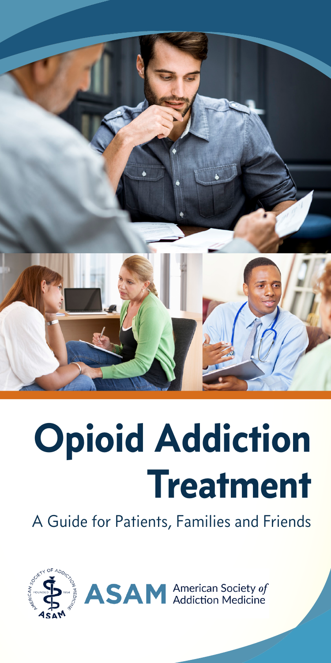

# **Opioid Addiction Treatment**

A Guide for Patients, Families and Friends





**ASAM** American Society of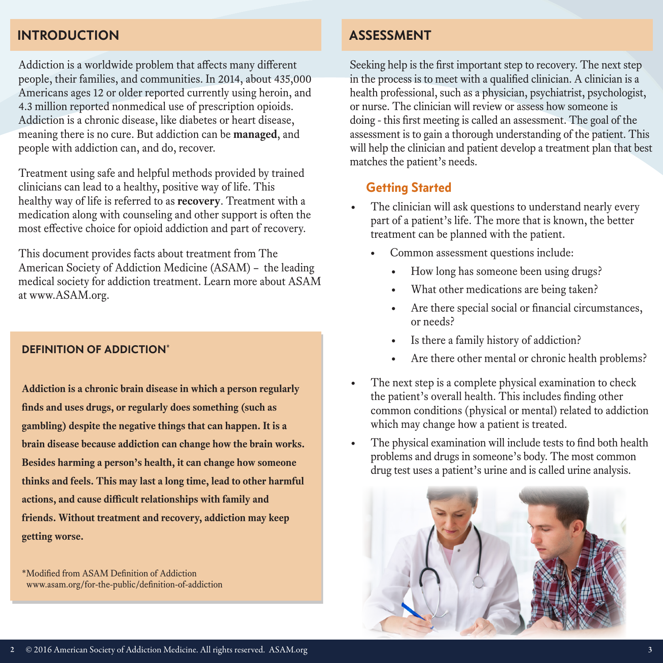#### **INTRODUCTION**

Addiction is a worldwide problem that affects many different people, their families, and communities. In 2014, about 435,000 Americans ages 12 or older reported currently using heroin, and 4.3 million reported nonmedical use of prescription opioids. Addiction is a chronic disease, like diabetes or heart disease, meaning there is no cure. But addiction can be **managed**, and people with addiction can, and do, recover.

Treatment using safe and helpful methods provided by trained clinicians can lead to a healthy, positive way of life. This healthy way of life is referred to as **recovery**. Treatment with a medication along with counseling and other support is often the most effective choice for opioid addiction and part of recovery.

This document provides facts about treatment from The American Society of Addiction Medicine (ASAM) – the leading medical society for addiction treatment. Learn more about ASAM at www.ASAM.org.

#### **DEFINITION OF ADDICTION\***

**Addiction is a chronic brain disease in which a person regularly finds and uses drugs, or regularly does something (such as gambling) despite the negative things that can happen. It is a brain disease because addiction can change how the brain works. Besides harming a person's health, it can change how someone thinks and feels. This may last a long time, lead to other harmful actions, and cause difficult relationships with family and friends. Without treatment and recovery, addiction may keep getting worse.**

\*Modified from ASAM Definition of Addiction www.asam.org/for-the-public/definition-of-addiction

#### **ASSESSMENT**

Seeking help is the first important step to recovery. The next step in the process is to meet with a qualified clinician. A clinician is a health professional, such as a physician, psychiatrist, psychologist, or nurse. The clinician will review or assess how someone is doing - this first meeting is called an assessment. The goal of the assessment is to gain a thorough understanding of the patient. This will help the clinician and patient develop a treatment plan that best matches the patient's needs.

#### **Getting Started**

- The clinician will ask questions to understand nearly every part of a patient's life. The more that is known, the better treatment can be planned with the patient.
	- Common assessment questions include:
		- How long has someone been using drugs?
		- What other medications are being taken?
		- Are there special social or financial circumstances, or needs?
		- Is there a family history of addiction?
		- Are there other mental or chronic health problems?
- The next step is a complete physical examination to check the patient's overall health. This includes finding other common conditions (physical or mental) related to addiction which may change how a patient is treated.
- The physical examination will include tests to find both health problems and drugs in someone's body. The most common drug test uses a patient's urine and is called urine analysis.

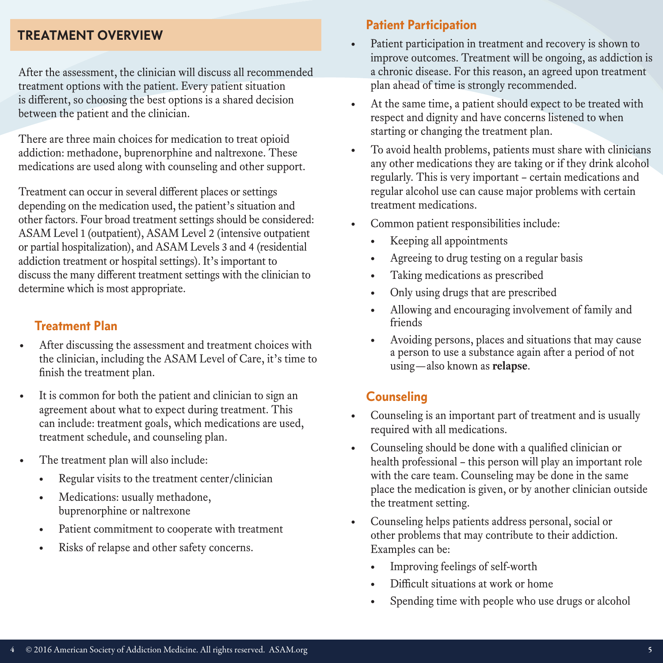#### **TREATMENT OVERVIEW**

After the assessment, the clinician will discuss all recommended treatment options with the patient. Every patient situation is different, so choosing the best options is a shared decision between the patient and the clinician.

There are three main choices for medication to treat opioid addiction: methadone, buprenorphine and naltrexone. These medications are used along with counseling and other support.

Treatment can occur in several different places or settings depending on the medication used, the patient's situation and other factors. Four broad treatment settings should be considered: ASAM Level 1 (outpatient), ASAM Level 2 (intensive outpatient or partial hospitalization), and ASAM Levels 3 and 4 (residential addiction treatment or hospital settings). It's important to discuss the many different treatment settings with the clinician to determine which is most appropriate.

#### **Treatment Plan**

- After discussing the assessment and treatment choices with the clinician, including the ASAM Level of Care, it's time to finish the treatment plan.
- It is common for both the patient and clinician to sign an agreement about what to expect during treatment. This can include: treatment goals, which medications are used, treatment schedule, and counseling plan.
- The treatment plan will also include:
	- Regular visits to the treatment center/clinician
	- Medications: usually methadone, buprenorphine or naltrexone
	- Patient commitment to cooperate with treatment
	- Risks of relapse and other safety concerns.

#### **Patient Participation**

- Patient participation in treatment and recovery is shown to improve outcomes. Treatment will be ongoing, as addiction is a chronic disease. For this reason, an agreed upon treatment plan ahead of time is strongly recommended.
- At the same time, a patient should expect to be treated with respect and dignity and have concerns listened to when starting or changing the treatment plan.
- To avoid health problems, patients must share with clinicians any other medications they are taking or if they drink alcohol regularly. This is very important – certain medications and regular alcohol use can cause major problems with certain treatment medications.
- Common patient responsibilities include:
	- Keeping all appointments
	- Agreeing to drug testing on a regular basis
	- Taking medications as prescribed
	- Only using drugs that are prescribed
	- Allowing and encouraging involvement of family and friends
	- Avoiding persons, places and situations that may cause a person to use a substance again after a period of not using—also known as **relapse**.

#### **Counseling**

- Counseling is an important part of treatment and is usually required with all medications.
- Counseling should be done with a qualified clinician or health professional – this person will play an important role with the care team. Counseling may be done in the same place the medication is given, or by another clinician outside the treatment setting.
- Counseling helps patients address personal, social or other problems that may contribute to their addiction. Examples can be:
	- Improving feelings of self-worth
	- Difficult situations at work or home
	- Spending time with people who use drugs or alcohol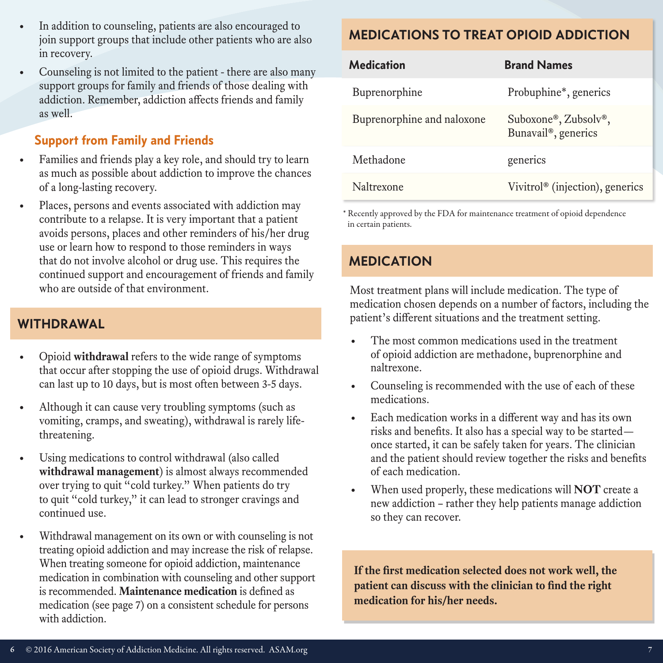• Counseling is not limited to the patient - there are also many support groups for family and friends of those dealing with addiction. Remember, addiction affects friends and family as well.

## **Support from Family and Friends**

- Families and friends play a key role, and should try to learn as much as possible about addiction to improve the chances of a long-lasting recovery.
- Places, persons and events associated with addiction may contribute to a relapse. It is very important that a patient avoids persons, places and other reminders of his/her drug use or learn how to respond to those reminders in ways that do not involve alcohol or drug use. This requires the continued support and encouragement of friends and family who are outside of that environment.

#### **WITHDRAWAL**

- Opioid **withdrawal** refers to the wide range of symptoms that occur after stopping the use of opioid drugs. Withdrawal can last up to 10 days, but is most often between 3-5 days.
- Although it can cause very troubling symptoms (such as vomiting, cramps, and sweating), withdrawal is rarely lifethreatening.
- Using medications to control withdrawal (also called **withdrawal management**) is almost always recommended over trying to quit "cold turkey." When patients do try to quit "cold turkey," it can lead to stronger cravings and continued use.
- Withdrawal management on its own or with counseling is not treating opioid addiction and may increase the risk of relapse. When treating someone for opioid addiction, maintenance medication in combination with counseling and other support is recommended. **Maintenance medication** is defined as medication (see page 7) on a consistent schedule for persons with addiction.

# **MEDICATIONS TO TREAT OPIOID ADDICTION**

| <b>Medication</b>          | <b>Brand Names</b>                          |
|----------------------------|---------------------------------------------|
| Buprenorphine              | Probuphine <sup>*</sup> , generics          |
| Buprenorphine and naloxone | Suboxone®, Zubsolv®,<br>Bunavail®, generics |
| Methadone                  | generics                                    |
| Naltrexone                 | Vivitrol <sup>®</sup> (injection), generics |

\* Recently approved by the FDA for maintenance treatment of opioid dependence in certain patients.

# **MEDICATION**

Most treatment plans will include medication. The type of medication chosen depends on a number of factors, including the patient's different situations and the treatment setting.

- The most common medications used in the treatment of opioid addiction are methadone, buprenorphine and naltrexone.
- Counseling is recommended with the use of each of these medications.
- Each medication works in a different way and has its own risks and benefits. It also has a special way to be started once started, it can be safely taken for years. The clinician and the patient should review together the risks and benefits of each medication.
- When used properly, these medications will **NOT** create a new addiction – rather they help patients manage addiction so they can recover.

**If the first medication selected does not work well, the patient can discuss with the clinician to find the right medication for his/her needs.**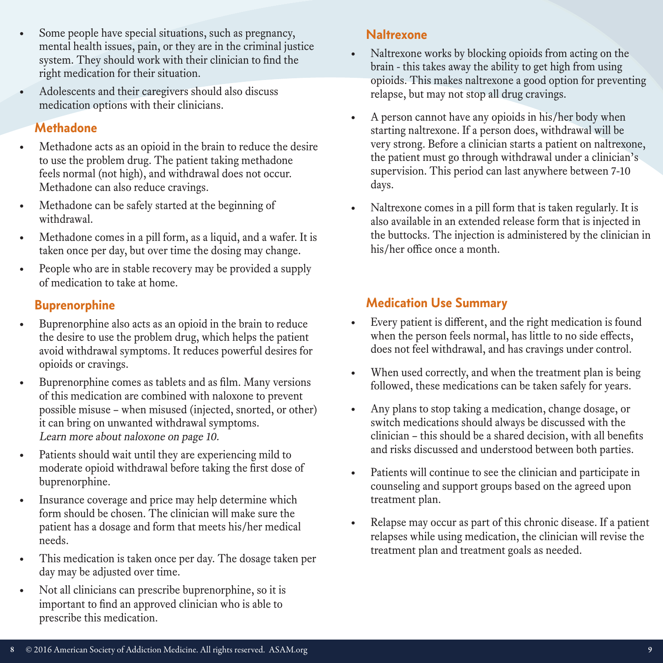- Some people have special situations, such as pregnancy, mental health issues, pain, or they are in the criminal justice system. They should work with their clinician to find the right medication for their situation.
- Adolescents and their caregivers should also discuss medication options with their clinicians.

#### **Methadone**

- Methadone acts as an opioid in the brain to reduce the desire to use the problem drug. The patient taking methadone feels normal (not high), and withdrawal does not occur. Methadone can also reduce cravings.
- Methadone can be safely started at the beginning of withdrawal.
- Methadone comes in a pill form, as a liquid, and a wafer. It is taken once per day, but over time the dosing may change.
- People who are in stable recovery may be provided a supply of medication to take at home.

# **Buprenorphine**

- Buprenorphine also acts as an opioid in the brain to reduce the desire to use the problem drug, which helps the patient avoid withdrawal symptoms. It reduces powerful desires for opioids or cravings.
- Buprenorphine comes as tablets and as film. Many versions of this medication are combined with naloxone to prevent possible misuse – when misused (injected, snorted, or other) it can bring on unwanted withdrawal symptoms. Learn more about naloxone on page 10.
- Patients should wait until they are experiencing mild to moderate opioid withdrawal before taking the first dose of buprenorphine.
- Insurance coverage and price may help determine which form should be chosen. The clinician will make sure the patient has a dosage and form that meets his/her medical needs.
- This medication is taken once per day. The dosage taken per day may be adjusted over time.
- Not all clinicians can prescribe buprenorphine, so it is important to find an approved clinician who is able to prescribe this medication.

#### **Naltrexone**

- Naltrexone works by blocking opioids from acting on the brain - this takes away the ability to get high from using opioids. This makes naltrexone a good option for preventing relapse, but may not stop all drug cravings.
- A person cannot have any opioids in his/her body when starting naltrexone. If a person does, withdrawal will be very strong. Before a clinician starts a patient on naltrexone, the patient must go through withdrawal under a clinician's supervision. This period can last anywhere between 7-10 days.
- Naltrexone comes in a pill form that is taken regularly. It is also available in an extended release form that is injected in the buttocks. The injection is administered by the clinician in his/her office once a month.

# **Medication Use Summary**

- Every patient is different, and the right medication is found when the person feels normal, has little to no side effects, does not feel withdrawal, and has cravings under control.
- When used correctly, and when the treatment plan is being followed, these medications can be taken safely for years.
- Any plans to stop taking a medication, change dosage, or switch medications should always be discussed with the clinician – this should be a shared decision, with all benefits and risks discussed and understood between both parties.
- Patients will continue to see the clinician and participate in counseling and support groups based on the agreed upon treatment plan.
- Relapse may occur as part of this chronic disease. If a patient relapses while using medication, the clinician will revise the treatment plan and treatment goals as needed.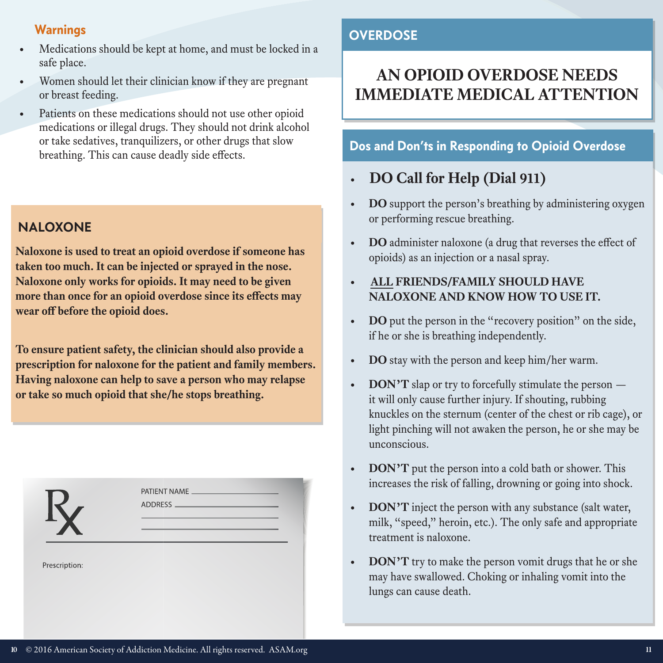## **Warnings**

- Medications should be kept at home, and must be locked in a safe place.
- Women should let their clinician know if they are pregnant or breast feeding.
- Patients on these medications should not use other opioid medications or illegal drugs. They should not drink alcohol or take sedatives, tranquilizers, or other drugs that slow breathing. This can cause deadly side effects. **Dos and Don'ts in Responding to Opioid Overdose**

# **NALOXONE**

**Naloxone is used to treat an opioid overdose if someone has taken too much. It can be injected or sprayed in the nose. Naloxone only works for opioids. It may need to be given more than once for an opioid overdose since its effects may wear off before the opioid does.**

**To ensure patient safety, the clinician should also provide a prescription for naloxone for the patient and family members. Having naloxone can help to save a person who may relapse or take so much opioid that she/he stops breathing.**

| - 7           | the contract of the contract of the contract of the contract of the contract of |
|---------------|---------------------------------------------------------------------------------|
| Prescription: |                                                                                 |
|               |                                                                                 |

# **OVERDOSE**

# **AN OPIOID OVERDOSE NEEDS IMMEDIATE MEDICAL ATTENTION**

- **• DO Call for Help (Dial 911)**
- **• DO** support the person's breathing by administering oxygen or performing rescue breathing.
- **• DO** administer naloxone (a drug that reverses the effect of opioids) as an injection or a nasal spray.
- **• ALL FRIENDS/FAMILY SHOULD HAVE NALOXONE AND KNOW HOW TO USE IT.**
- **• DO** put the person in the "recovery position" on the side, if he or she is breathing independently.
- **• DO** stay with the person and keep him/her warm.
- **DON'T** slap or try to forcefully stimulate the person it will only cause further injury. If shouting, rubbing knuckles on the sternum (center of the chest or rib cage), or light pinching will not awaken the person, he or she may be unconscious.
- **• DON'T** put the person into a cold bath or shower. This increases the risk of falling, drowning or going into shock.
- **• DON'T** inject the person with any substance (salt water, milk, "speed," heroin, etc.). The only safe and appropriate treatment is naloxone.
- **DON'T** try to make the person vomit drugs that he or she may have swallowed. Choking or inhaling vomit into the lungs can cause death.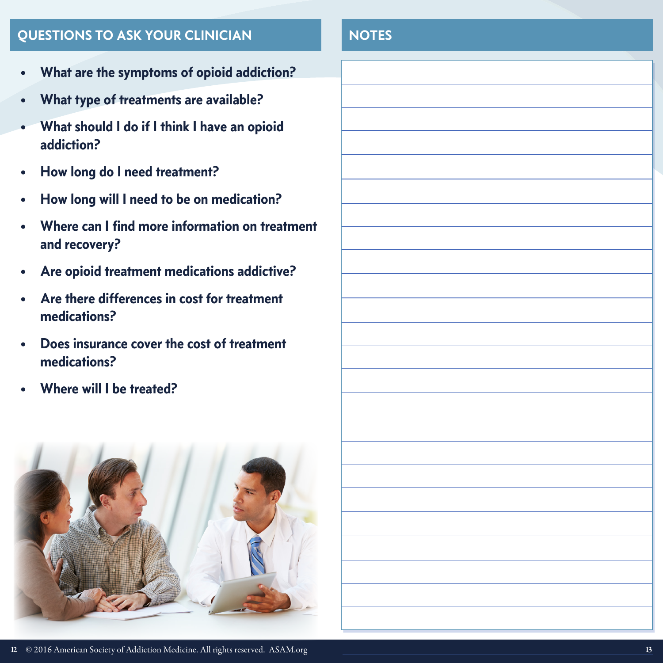# **QUESTIONS TO ASK YOUR CLINICIAN NOTES**

- **• What are the symptoms of opioid addiction?**
- **• What type of treatments are available?**
- **• What should I do if I think I have an opioid addiction?**
- **• How long do I need treatment?**
- **• How long will I need to be on medication?**
- **• Where can I find more information on treatment and recovery?**
- **• Are opioid treatment medications addictive?**
- **• Are there differences in cost for treatment medications?**
- **• Does insurance cover the cost of treatment medications?**
- **• Where will I be treated?**